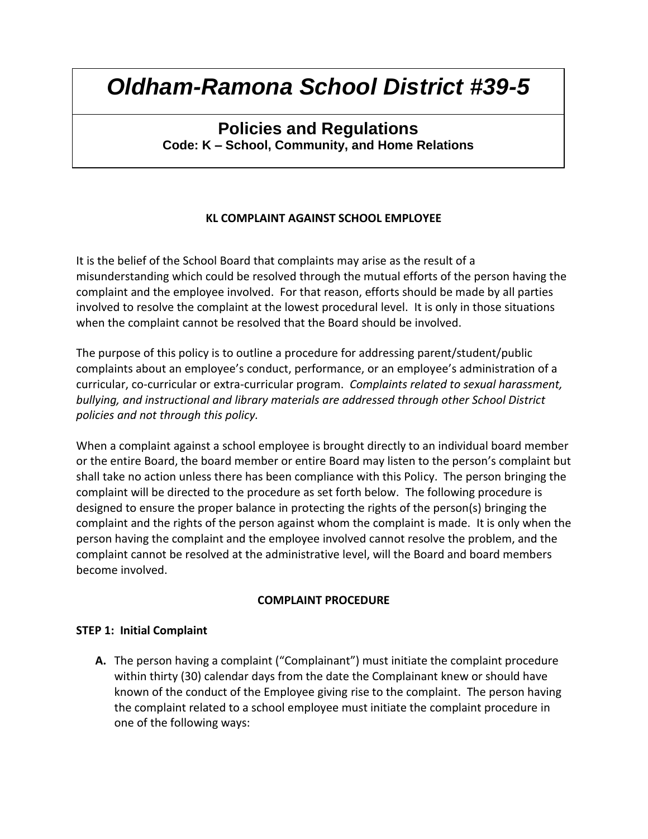### **Policies and Regulations Code: K – School, Community, and Home Relations**

**KL COMPLAINT AGAINST SCHOOL EMPLOYEE**

It is the belief of the School Board that complaints may arise as the result of a misunderstanding which could be resolved through the mutual efforts of the person having the complaint and the employee involved. For that reason, efforts should be made by all parties involved to resolve the complaint at the lowest procedural level. It is only in those situations when the complaint cannot be resolved that the Board should be involved.

The purpose of this policy is to outline a procedure for addressing parent/student/public complaints about an employee's conduct, performance, or an employee's administration of a curricular, co-curricular or extra-curricular program. *Complaints related to sexual harassment, bullying, and instructional and library materials are addressed through other School District policies and not through this policy.*

When a complaint against a school employee is brought directly to an individual board member or the entire Board, the board member or entire Board may listen to the person's complaint but shall take no action unless there has been compliance with this Policy. The person bringing the complaint will be directed to the procedure as set forth below. The following procedure is designed to ensure the proper balance in protecting the rights of the person(s) bringing the complaint and the rights of the person against whom the complaint is made. It is only when the person having the complaint and the employee involved cannot resolve the problem, and the complaint cannot be resolved at the administrative level, will the Board and board members become involved.

#### **COMPLAINT PROCEDURE**

#### **STEP 1: Initial Complaint**

**A.** The person having a complaint ("Complainant") must initiate the complaint procedure within thirty (30) calendar days from the date the Complainant knew or should have known of the conduct of the Employee giving rise to the complaint. The person having the complaint related to a school employee must initiate the complaint procedure in one of the following ways: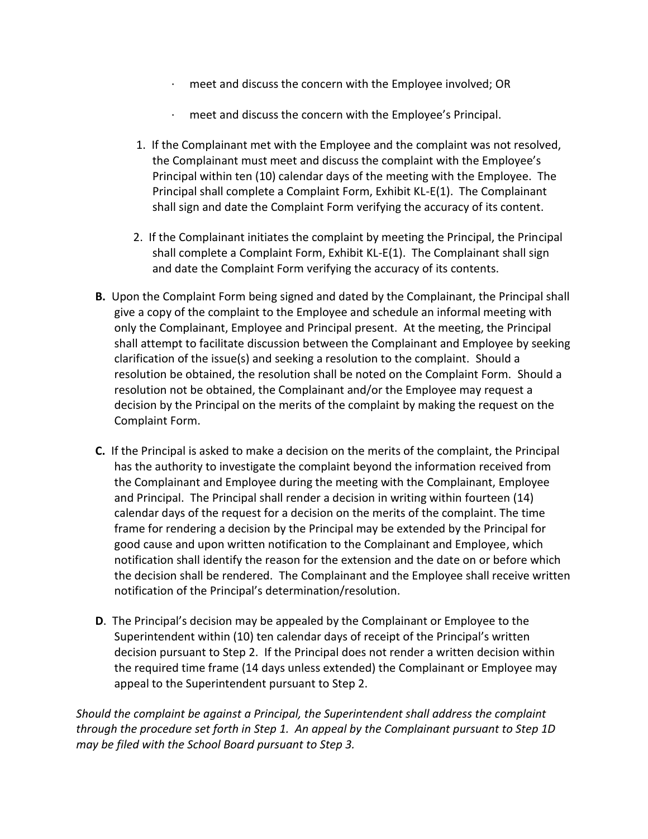- meet and discuss the concern with the Employee involved; OR
- · meet and discuss the concern with the Employee's Principal.
- 1. If the Complainant met with the Employee and the complaint was not resolved, the Complainant must meet and discuss the complaint with the Employee's Principal within ten (10) calendar days of the meeting with the Employee. The Principal shall complete a Complaint Form, Exhibit KL-E(1). The Complainant shall sign and date the Complaint Form verifying the accuracy of its content.
- 2. If the Complainant initiates the complaint by meeting the Principal, the Principal shall complete a Complaint Form, Exhibit KL-E(1). The Complainant shall sign and date the Complaint Form verifying the accuracy of its contents.
- **B.** Upon the Complaint Form being signed and dated by the Complainant, the Principal shall give a copy of the complaint to the Employee and schedule an informal meeting with only the Complainant, Employee and Principal present. At the meeting, the Principal shall attempt to facilitate discussion between the Complainant and Employee by seeking clarification of the issue(s) and seeking a resolution to the complaint. Should a resolution be obtained, the resolution shall be noted on the Complaint Form. Should a resolution not be obtained, the Complainant and/or the Employee may request a decision by the Principal on the merits of the complaint by making the request on the Complaint Form.
- **C.** If the Principal is asked to make a decision on the merits of the complaint, the Principal has the authority to investigate the complaint beyond the information received from the Complainant and Employee during the meeting with the Complainant, Employee and Principal. The Principal shall render a decision in writing within fourteen (14) calendar days of the request for a decision on the merits of the complaint. The time frame for rendering a decision by the Principal may be extended by the Principal for good cause and upon written notification to the Complainant and Employee, which notification shall identify the reason for the extension and the date on or before which the decision shall be rendered. The Complainant and the Employee shall receive written notification of the Principal's determination/resolution.
- **D**. The Principal's decision may be appealed by the Complainant or Employee to the Superintendent within (10) ten calendar days of receipt of the Principal's written decision pursuant to Step 2. If the Principal does not render a written decision within the required time frame (14 days unless extended) the Complainant or Employee may appeal to the Superintendent pursuant to Step 2.

*Should the complaint be against a Principal, the Superintendent shall address the complaint through the procedure set forth in Step 1. An appeal by the Complainant pursuant to Step 1D may be filed with the School Board pursuant to Step 3.*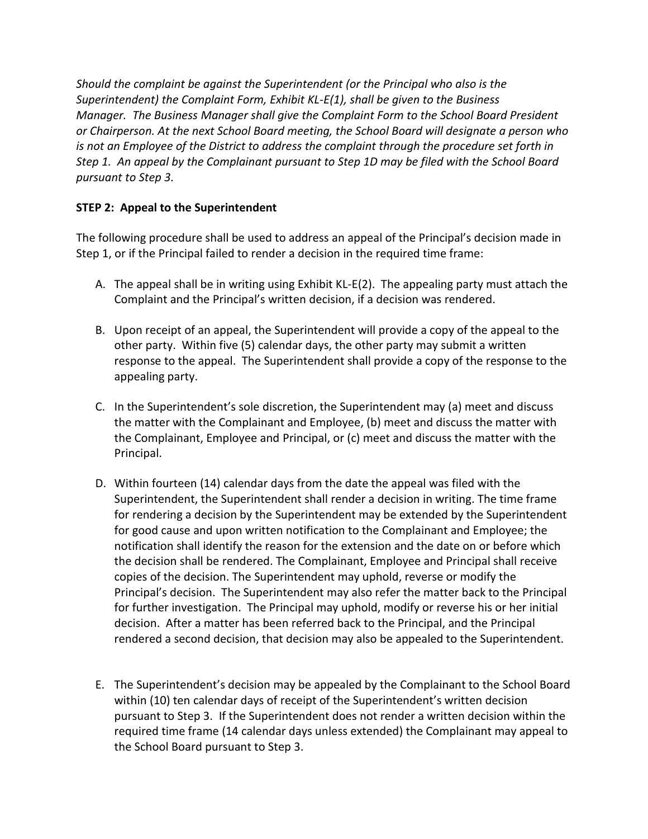*Should the complaint be against the Superintendent (or the Principal who also is the Superintendent) the Complaint Form, Exhibit KL-E(1), shall be given to the Business Manager. The Business Manager shall give the Complaint Form to the School Board President or Chairperson. At the next School Board meeting, the School Board will designate a person who is not an Employee of the District to address the complaint through the procedure set forth in Step 1. An appeal by the Complainant pursuant to Step 1D may be filed with the School Board pursuant to Step 3.*

### **STEP 2: Appeal to the Superintendent**

The following procedure shall be used to address an appeal of the Principal's decision made in Step 1, or if the Principal failed to render a decision in the required time frame:

- A. The appeal shall be in writing using Exhibit KL-E(2). The appealing party must attach the Complaint and the Principal's written decision, if a decision was rendered.
- B. Upon receipt of an appeal, the Superintendent will provide a copy of the appeal to the other party. Within five (5) calendar days, the other party may submit a written response to the appeal. The Superintendent shall provide a copy of the response to the appealing party.
- C. In the Superintendent's sole discretion, the Superintendent may (a) meet and discuss the matter with the Complainant and Employee, (b) meet and discuss the matter with the Complainant, Employee and Principal, or (c) meet and discuss the matter with the Principal.
- D. Within fourteen (14) calendar days from the date the appeal was filed with the Superintendent, the Superintendent shall render a decision in writing. The time frame for rendering a decision by the Superintendent may be extended by the Superintendent for good cause and upon written notification to the Complainant and Employee; the notification shall identify the reason for the extension and the date on or before which the decision shall be rendered. The Complainant, Employee and Principal shall receive copies of the decision. The Superintendent may uphold, reverse or modify the Principal's decision. The Superintendent may also refer the matter back to the Principal for further investigation. The Principal may uphold, modify or reverse his or her initial decision. After a matter has been referred back to the Principal, and the Principal rendered a second decision, that decision may also be appealed to the Superintendent.
- E. The Superintendent's decision may be appealed by the Complainant to the School Board within (10) ten calendar days of receipt of the Superintendent's written decision pursuant to Step 3. If the Superintendent does not render a written decision within the required time frame (14 calendar days unless extended) the Complainant may appeal to the School Board pursuant to Step 3.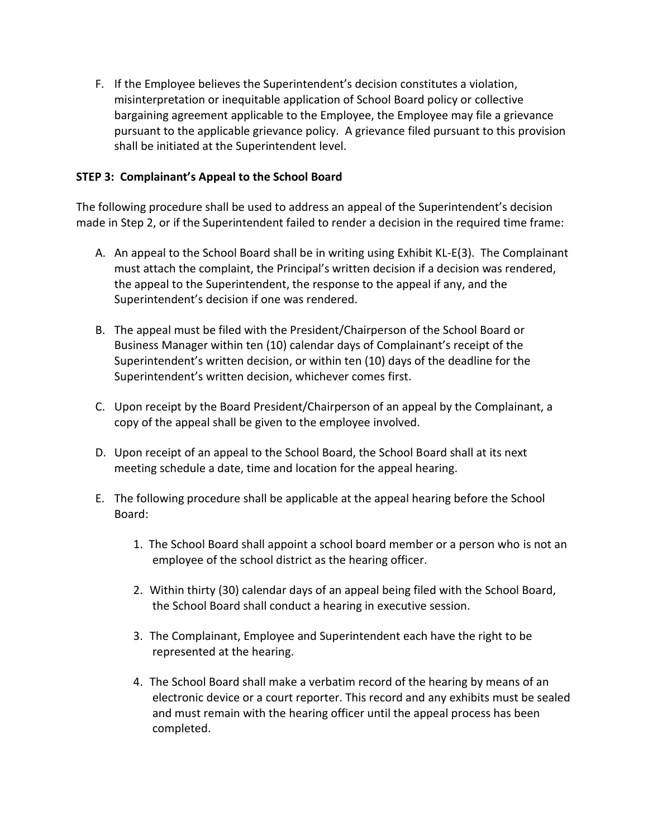F. If the Employee believes the Superintendent's decision constitutes a violation, misinterpretation or inequitable application of School Board policy or collective bargaining agreement applicable to the Employee, the Employee may file a grievance pursuant to the applicable grievance policy. A grievance filed pursuant to this provision shall be initiated at the Superintendent level.

#### **STEP 3: Complainant's Appeal to the School Board**

The following procedure shall be used to address an appeal of the Superintendent's decision made in Step 2, or if the Superintendent failed to render a decision in the required time frame:

- A. An appeal to the School Board shall be in writing using Exhibit KL-E(3). The Complainant must attach the complaint, the Principal's written decision if a decision was rendered, the appeal to the Superintendent, the response to the appeal if any, and the Superintendent's decision if one was rendered.
- B. The appeal must be filed with the President/Chairperson of the School Board or Business Manager within ten (10) calendar days of Complainant's receipt of the Superintendent's written decision, or within ten (10) days of the deadline for the Superintendent's written decision, whichever comes first.
- C. Upon receipt by the Board President/Chairperson of an appeal by the Complainant, a copy of the appeal shall be given to the employee involved.
- D. Upon receipt of an appeal to the School Board, the School Board shall at its next meeting schedule a date, time and location for the appeal hearing.
- E. The following procedure shall be applicable at the appeal hearing before the School Board:
	- 1. The School Board shall appoint a school board member or a person who is not an employee of the school district as the hearing officer.
	- 2. Within thirty (30) calendar days of an appeal being filed with the School Board, the School Board shall conduct a hearing in executive session.
	- 3. The Complainant, Employee and Superintendent each have the right to be represented at the hearing.
	- 4. The School Board shall make a verbatim record of the hearing by means of an electronic device or a court reporter. This record and any exhibits must be sealed and must remain with the hearing officer until the appeal process has been completed.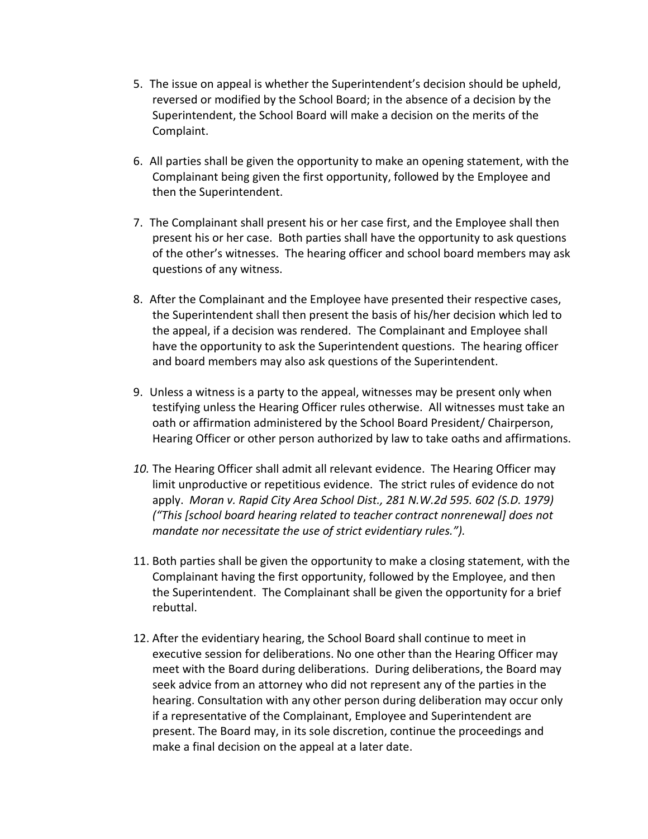- 5. The issue on appeal is whether the Superintendent's decision should be upheld, reversed or modified by the School Board; in the absence of a decision by the Superintendent, the School Board will make a decision on the merits of the Complaint.
- 6. All parties shall be given the opportunity to make an opening statement, with the Complainant being given the first opportunity, followed by the Employee and then the Superintendent.
- 7. The Complainant shall present his or her case first, and the Employee shall then present his or her case. Both parties shall have the opportunity to ask questions of the other's witnesses. The hearing officer and school board members may ask questions of any witness.
- 8. After the Complainant and the Employee have presented their respective cases, the Superintendent shall then present the basis of his/her decision which led to the appeal, if a decision was rendered. The Complainant and Employee shall have the opportunity to ask the Superintendent questions. The hearing officer and board members may also ask questions of the Superintendent.
- 9. Unless a witness is a party to the appeal, witnesses may be present only when testifying unless the Hearing Officer rules otherwise. All witnesses must take an oath or affirmation administered by the School Board President/ Chairperson, Hearing Officer or other person authorized by law to take oaths and affirmations.
- *10.* The Hearing Officer shall admit all relevant evidence. The Hearing Officer may limit unproductive or repetitious evidence. The strict rules of evidence do not apply. *Moran v. Rapid City Area School Dist., 281 N.W.2d 595. 602 (S.D. 1979) ("This [school board hearing related to teacher contract nonrenewal] does not mandate nor necessitate the use of strict evidentiary rules.").*
- 11. Both parties shall be given the opportunity to make a closing statement, with the Complainant having the first opportunity, followed by the Employee, and then the Superintendent. The Complainant shall be given the opportunity for a brief rebuttal.
- 12. After the evidentiary hearing, the School Board shall continue to meet in executive session for deliberations. No one other than the Hearing Officer may meet with the Board during deliberations. During deliberations, the Board may seek advice from an attorney who did not represent any of the parties in the hearing. Consultation with any other person during deliberation may occur only if a representative of the Complainant, Employee and Superintendent are present. The Board may, in its sole discretion, continue the proceedings and make a final decision on the appeal at a later date.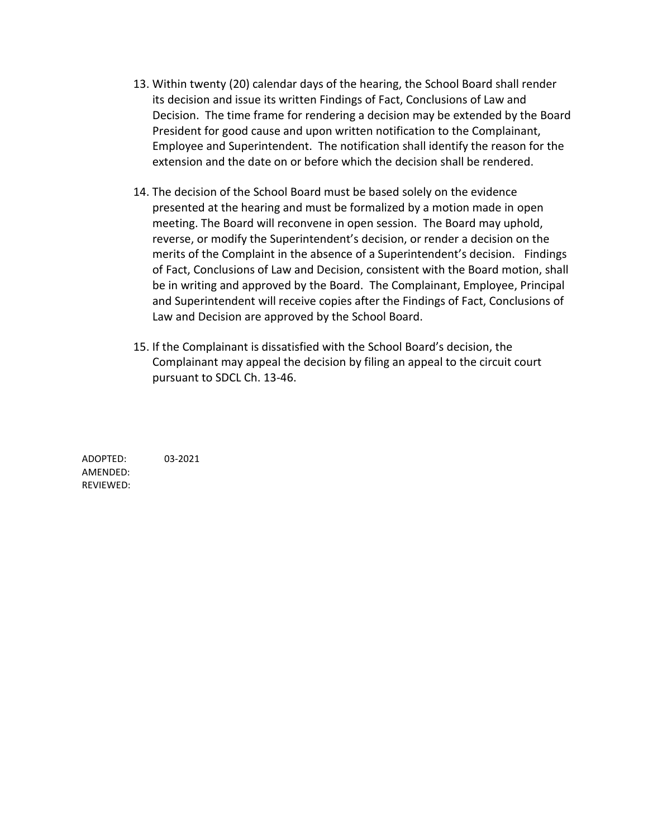- 13. Within twenty (20) calendar days of the hearing, the School Board shall render its decision and issue its written Findings of Fact, Conclusions of Law and Decision. The time frame for rendering a decision may be extended by the Board President for good cause and upon written notification to the Complainant, Employee and Superintendent. The notification shall identify the reason for the extension and the date on or before which the decision shall be rendered.
- 14. The decision of the School Board must be based solely on the evidence presented at the hearing and must be formalized by a motion made in open meeting. The Board will reconvene in open session. The Board may uphold, reverse, or modify the Superintendent's decision, or render a decision on the merits of the Complaint in the absence of a Superintendent's decision. Findings of Fact, Conclusions of Law and Decision, consistent with the Board motion, shall be in writing and approved by the Board. The Complainant, Employee, Principal and Superintendent will receive copies after the Findings of Fact, Conclusions of Law and Decision are approved by the School Board.
- 15. If the Complainant is dissatisfied with the School Board's decision, the Complainant may appeal the decision by filing an appeal to the circuit court pursuant to SDCL Ch. 13-46.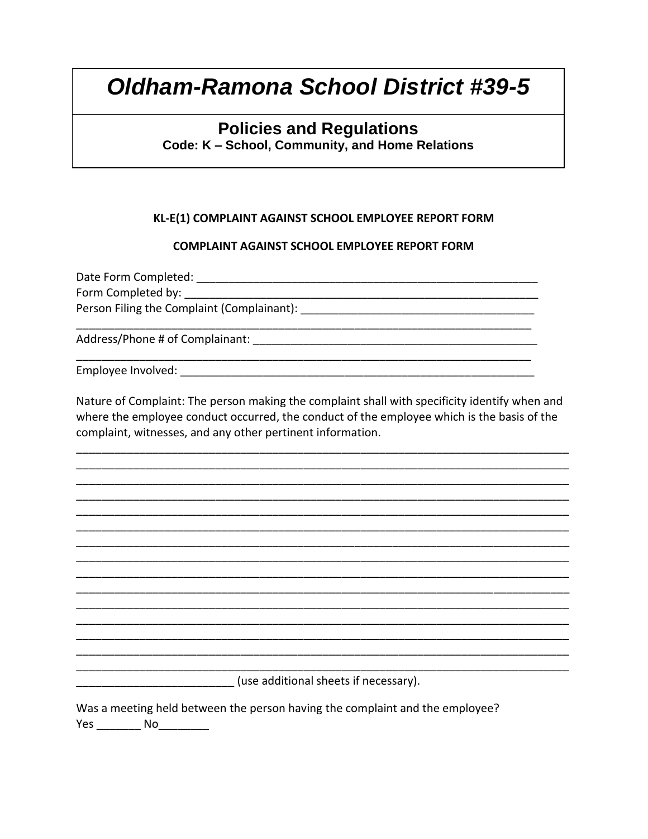## **Policies and Regulations**

Code: K - School, Community, and Home Relations

### KL-E(1) COMPLAINT AGAINST SCHOOL EMPLOYEE REPORT FORM

#### **COMPLAINT AGAINST SCHOOL EMPLOYEE REPORT FORM**

Form Completed by: The completed by: Person Filing the Complaint (Complainant): \_\_\_\_\_\_\_ 

Employee Involved: The contract of the contract of the contract of the contract of the contract of the contract of the contract of the contract of the contract of the contract of the contract of the contract of the contrac

Nature of Complaint: The person making the complaint shall with specificity identify when and where the employee conduct occurred, the conduct of the employee which is the basis of the complaint, witnesses, and any other pertinent information.

<u> 1989 - Jan James James James James James James James James James James James James James James James James J</u>

(use additional sheets if necessary).

Was a meeting held between the person having the complaint and the employee? Yes No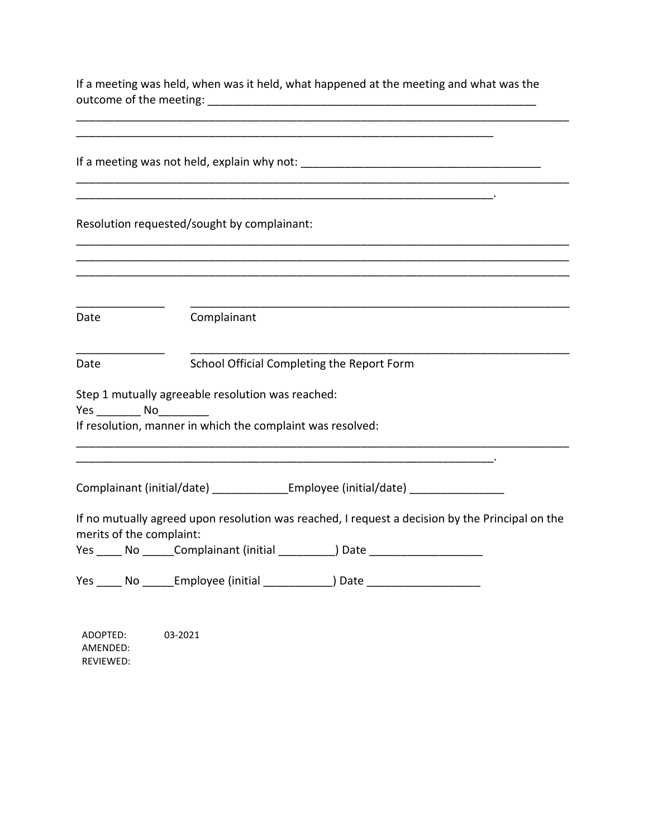|                                       | If a meeting was held, when was it held, what happened at the meeting and what was the                                                   |
|---------------------------------------|------------------------------------------------------------------------------------------------------------------------------------------|
|                                       |                                                                                                                                          |
|                                       | Resolution requested/sought by complainant:                                                                                              |
|                                       |                                                                                                                                          |
| Date                                  | Complainant                                                                                                                              |
| Date                                  | School Official Completing the Report Form                                                                                               |
| Yes No                                | Step 1 mutually agreeable resolution was reached:<br>If resolution, manner in which the complaint was resolved:                          |
|                                       | Complainant (initial/date) _______________Employee (initial/date) ______________                                                         |
| merits of the complaint:<br>No<br>Yes | If no mutually agreed upon resolution was reached, I request a decision by the Principal on the<br>Complainant (initial ______<br>) Date |
|                                       | Yes _____ No ______Employee (initial ______________) Date ______________________                                                         |
| ADOPTED:                              | 03-2021                                                                                                                                  |

AMENDED: REVIEWED: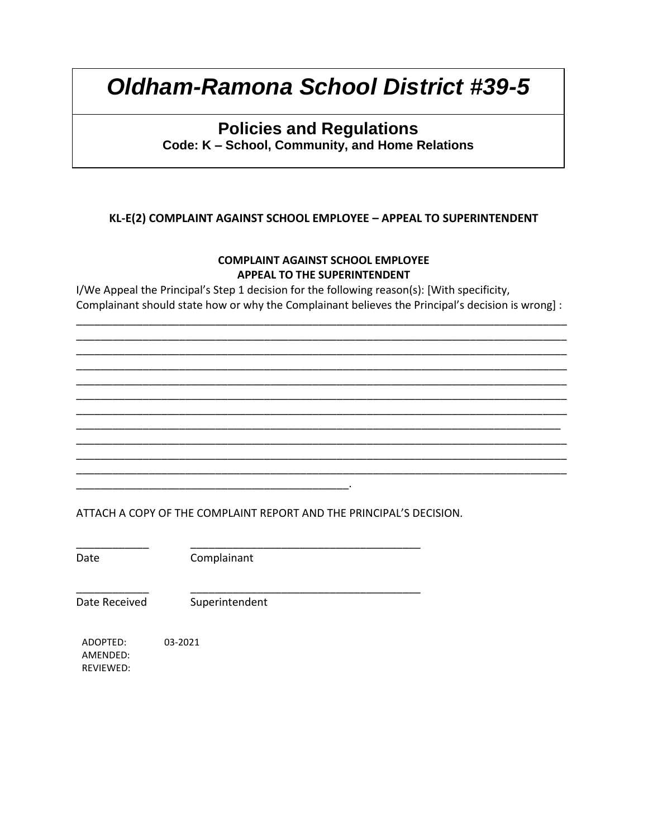## **Policies and Regulations**

**Code: K – School, Community, and Home Relations**

### **KL-E(2) COMPLAINT AGAINST SCHOOL EMPLOYEE – APPEAL TO SUPERINTENDENT**

### **COMPLAINT AGAINST SCHOOL EMPLOYEE APPEAL TO THE SUPERINTENDENT**

I/We Appeal the Principal's Step 1 decision for the following reason(s): [With specificity, Complainant should state how or why the Complainant believes the Principal's decision is wrong] :

\_\_\_\_\_\_\_\_\_\_\_\_\_\_\_\_\_\_\_\_\_\_\_\_\_\_\_\_\_\_\_\_\_\_\_\_\_\_\_\_\_\_\_\_\_\_\_\_\_\_\_\_\_\_\_\_\_\_\_\_\_\_\_\_\_\_\_\_\_\_\_\_\_\_\_\_\_\_\_\_\_ \_\_\_\_\_\_\_\_\_\_\_\_\_\_\_\_\_\_\_\_\_\_\_\_\_\_\_\_\_\_\_\_\_\_\_\_\_\_\_\_\_\_\_\_\_\_\_\_\_\_\_\_\_\_\_\_\_\_\_\_\_\_\_\_\_\_\_\_\_\_\_\_\_\_\_\_\_\_\_\_\_ \_\_\_\_\_\_\_\_\_\_\_\_\_\_\_\_\_\_\_\_\_\_\_\_\_\_\_\_\_\_\_\_\_\_\_\_\_\_\_\_\_\_\_\_\_\_\_\_\_\_\_\_\_\_\_\_\_\_\_\_\_\_\_\_\_\_\_\_\_\_\_\_\_\_\_\_\_\_\_\_\_ \_\_\_\_\_\_\_\_\_\_\_\_\_\_\_\_\_\_\_\_\_\_\_\_\_\_\_\_\_\_\_\_\_\_\_\_\_\_\_\_\_\_\_\_\_\_\_\_\_\_\_\_\_\_\_\_\_\_\_\_\_\_\_\_\_\_\_\_\_\_\_\_\_\_\_\_\_\_\_\_\_ \_\_\_\_\_\_\_\_\_\_\_\_\_\_\_\_\_\_\_\_\_\_\_\_\_\_\_\_\_\_\_\_\_\_\_\_\_\_\_\_\_\_\_\_\_\_\_\_\_\_\_\_\_\_\_\_\_\_\_\_\_\_\_\_\_\_\_\_\_\_\_\_\_\_\_\_\_\_\_\_\_ \_\_\_\_\_\_\_\_\_\_\_\_\_\_\_\_\_\_\_\_\_\_\_\_\_\_\_\_\_\_\_\_\_\_\_\_\_\_\_\_\_\_\_\_\_\_\_\_\_\_\_\_\_\_\_\_\_\_\_\_\_\_\_\_\_\_\_\_\_\_\_\_\_\_\_\_\_\_\_\_\_ \_\_\_\_\_\_\_\_\_\_\_\_\_\_\_\_\_\_\_\_\_\_\_\_\_\_\_\_\_\_\_\_\_\_\_\_\_\_\_\_\_\_\_\_\_\_\_\_\_\_\_\_\_\_\_\_\_\_\_\_\_\_\_\_\_\_\_\_\_\_\_\_\_\_\_\_\_\_\_\_\_ \_\_\_\_\_\_\_\_\_\_\_\_\_\_\_\_\_\_\_\_\_\_\_\_\_\_\_\_\_\_\_\_\_\_\_\_\_\_\_\_\_\_\_\_\_\_\_\_\_\_\_\_\_\_\_\_\_\_\_\_\_\_\_\_\_\_\_\_\_\_\_\_\_\_\_\_\_\_\_\_ \_\_\_\_\_\_\_\_\_\_\_\_\_\_\_\_\_\_\_\_\_\_\_\_\_\_\_\_\_\_\_\_\_\_\_\_\_\_\_\_\_\_\_\_\_\_\_\_\_\_\_\_\_\_\_\_\_\_\_\_\_\_\_\_\_\_\_\_\_\_\_\_\_\_\_\_\_\_\_\_\_ \_\_\_\_\_\_\_\_\_\_\_\_\_\_\_\_\_\_\_\_\_\_\_\_\_\_\_\_\_\_\_\_\_\_\_\_\_\_\_\_\_\_\_\_\_\_\_\_\_\_\_\_\_\_\_\_\_\_\_\_\_\_\_\_\_\_\_\_\_\_\_\_\_\_\_\_\_\_\_\_\_ \_\_\_\_\_\_\_\_\_\_\_\_\_\_\_\_\_\_\_\_\_\_\_\_\_\_\_\_\_\_\_\_\_\_\_\_\_\_\_\_\_\_\_\_\_\_\_\_\_\_\_\_\_\_\_\_\_\_\_\_\_\_\_\_\_\_\_\_\_\_\_\_\_\_\_\_\_\_\_\_\_

ATTACH A COPY OF THE COMPLAINT REPORT AND THE PRINCIPAL'S DECISION.

\_\_\_\_\_\_\_\_\_\_\_\_ \_\_\_\_\_\_\_\_\_\_\_\_\_\_\_\_\_\_\_\_\_\_\_\_\_\_\_\_\_\_\_\_\_\_\_\_\_\_ Date Complainant

\_\_\_\_\_\_\_\_\_\_\_\_\_\_\_\_\_\_\_\_\_\_\_\_\_\_\_\_\_\_\_\_\_\_\_\_\_\_\_\_\_\_\_\_\_.

Date Received Superintendent

\_\_\_\_\_\_\_\_\_\_\_\_ \_\_\_\_\_\_\_\_\_\_\_\_\_\_\_\_\_\_\_\_\_\_\_\_\_\_\_\_\_\_\_\_\_\_\_\_\_\_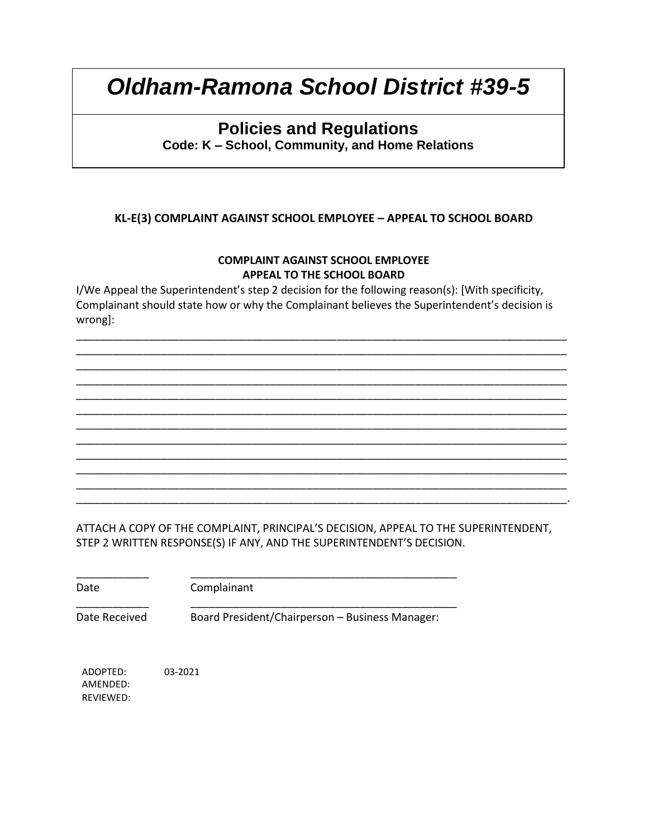## **Policies and Regulations**

**Code: K – School, Community, and Home Relations**

### **KL-E(3) COMPLAINT AGAINST SCHOOL EMPLOYEE – APPEAL TO SCHOOL BOARD**

#### **COMPLAINT AGAINST SCHOOL EMPLOYEE APPEAL TO THE SCHOOL BOARD**

I/We Appeal the Superintendent's step 2 decision for the following reason(s): [With specificity, Complainant should state how or why the Complainant believes the Superintendent's decision is wrong]:

\_\_\_\_\_\_\_\_\_\_\_\_\_\_\_\_\_\_\_\_\_\_\_\_\_\_\_\_\_\_\_\_\_\_\_\_\_\_\_\_\_\_\_\_\_\_\_\_\_\_\_\_\_\_\_\_\_\_\_\_\_\_\_\_\_\_\_\_\_\_\_\_\_\_\_\_\_\_\_\_\_ \_\_\_\_\_\_\_\_\_\_\_\_\_\_\_\_\_\_\_\_\_\_\_\_\_\_\_\_\_\_\_\_\_\_\_\_\_\_\_\_\_\_\_\_\_\_\_\_\_\_\_\_\_\_\_\_\_\_\_\_\_\_\_\_\_\_\_\_\_\_\_\_\_\_\_\_\_\_\_\_\_ \_\_\_\_\_\_\_\_\_\_\_\_\_\_\_\_\_\_\_\_\_\_\_\_\_\_\_\_\_\_\_\_\_\_\_\_\_\_\_\_\_\_\_\_\_\_\_\_\_\_\_\_\_\_\_\_\_\_\_\_\_\_\_\_\_\_\_\_\_\_\_\_\_\_\_\_\_\_\_\_\_ \_\_\_\_\_\_\_\_\_\_\_\_\_\_\_\_\_\_\_\_\_\_\_\_\_\_\_\_\_\_\_\_\_\_\_\_\_\_\_\_\_\_\_\_\_\_\_\_\_\_\_\_\_\_\_\_\_\_\_\_\_\_\_\_\_\_\_\_\_\_\_\_\_\_\_\_\_\_\_\_\_ \_\_\_\_\_\_\_\_\_\_\_\_\_\_\_\_\_\_\_\_\_\_\_\_\_\_\_\_\_\_\_\_\_\_\_\_\_\_\_\_\_\_\_\_\_\_\_\_\_\_\_\_\_\_\_\_\_\_\_\_\_\_\_\_\_\_\_\_\_\_\_\_\_\_\_\_\_\_\_\_\_ \_\_\_\_\_\_\_\_\_\_\_\_\_\_\_\_\_\_\_\_\_\_\_\_\_\_\_\_\_\_\_\_\_\_\_\_\_\_\_\_\_\_\_\_\_\_\_\_\_\_\_\_\_\_\_\_\_\_\_\_\_\_\_\_\_\_\_\_\_\_\_\_\_\_\_\_\_\_\_\_\_ \_\_\_\_\_\_\_\_\_\_\_\_\_\_\_\_\_\_\_\_\_\_\_\_\_\_\_\_\_\_\_\_\_\_\_\_\_\_\_\_\_\_\_\_\_\_\_\_\_\_\_\_\_\_\_\_\_\_\_\_\_\_\_\_\_\_\_\_\_\_\_\_\_\_\_\_\_\_\_\_\_ \_\_\_\_\_\_\_\_\_\_\_\_\_\_\_\_\_\_\_\_\_\_\_\_\_\_\_\_\_\_\_\_\_\_\_\_\_\_\_\_\_\_\_\_\_\_\_\_\_\_\_\_\_\_\_\_\_\_\_\_\_\_\_\_\_\_\_\_\_\_\_\_\_\_\_\_\_\_\_\_\_ \_\_\_\_\_\_\_\_\_\_\_\_\_\_\_\_\_\_\_\_\_\_\_\_\_\_\_\_\_\_\_\_\_\_\_\_\_\_\_\_\_\_\_\_\_\_\_\_\_\_\_\_\_\_\_\_\_\_\_\_\_\_\_\_\_\_\_\_\_\_\_\_\_\_\_\_\_\_\_\_\_ \_\_\_\_\_\_\_\_\_\_\_\_\_\_\_\_\_\_\_\_\_\_\_\_\_\_\_\_\_\_\_\_\_\_\_\_\_\_\_\_\_\_\_\_\_\_\_\_\_\_\_\_\_\_\_\_\_\_\_\_\_\_\_\_\_\_\_\_\_\_\_\_\_\_\_\_\_\_\_\_\_ \_\_\_\_\_\_\_\_\_\_\_\_\_\_\_\_\_\_\_\_\_\_\_\_\_\_\_\_\_\_\_\_\_\_\_\_\_\_\_\_\_\_\_\_\_\_\_\_\_\_\_\_\_\_\_\_\_\_\_\_\_\_\_\_\_\_\_\_\_\_\_\_\_\_\_\_\_\_\_\_\_ \_\_\_\_\_\_\_\_\_\_\_\_\_\_\_\_\_\_\_\_\_\_\_\_\_\_\_\_\_\_\_\_\_\_\_\_\_\_\_\_\_\_\_\_\_\_\_\_\_\_\_\_\_\_\_\_\_\_\_\_\_\_\_\_\_\_\_\_\_\_\_\_\_\_\_\_\_\_\_\_\_.

ATTACH A COPY OF THE COMPLAINT, PRINCIPAL'S DECISION, APPEAL TO THE SUPERINTENDENT, STEP 2 WRITTEN RESPONSE(S) IF ANY, AND THE SUPERINTENDENT'S DECISION.

\_\_\_\_\_\_\_\_\_\_\_\_ \_\_\_\_\_\_\_\_\_\_\_\_\_\_\_\_\_\_\_\_\_\_\_\_\_\_\_\_\_\_\_\_\_\_\_\_\_\_\_\_\_\_\_\_ Date Complainant

\_\_\_\_\_\_\_\_\_\_\_\_ \_\_\_\_\_\_\_\_\_\_\_\_\_\_\_\_\_\_\_\_\_\_\_\_\_\_\_\_\_\_\_\_\_\_\_\_\_\_\_\_\_\_\_\_

Date Received Board President/Chairperson – Business Manager: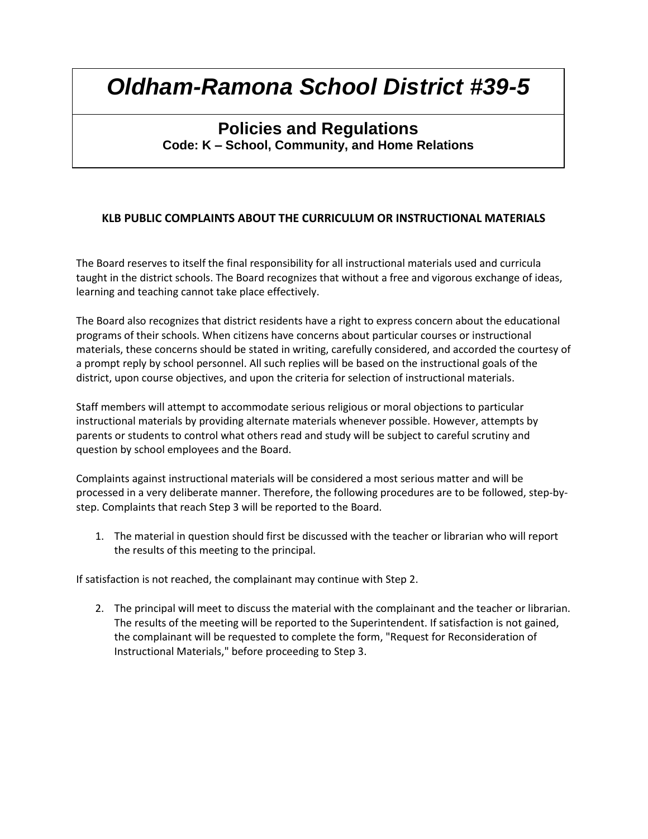### **Policies and Regulations Code: K – School, Community, and Home Relations**

### **KLB PUBLIC COMPLAINTS ABOUT THE CURRICULUM OR INSTRUCTIONAL MATERIALS**

The Board reserves to itself the final responsibility for all instructional materials used and curricula taught in the district schools. The Board recognizes that without a free and vigorous exchange of ideas, learning and teaching cannot take place effectively.

The Board also recognizes that district residents have a right to express concern about the educational programs of their schools. When citizens have concerns about particular courses or instructional materials, these concerns should be stated in writing, carefully considered, and accorded the courtesy of a prompt reply by school personnel. All such replies will be based on the instructional goals of the district, upon course objectives, and upon the criteria for selection of instructional materials.

Staff members will attempt to accommodate serious religious or moral objections to particular instructional materials by providing alternate materials whenever possible. However, attempts by parents or students to control what others read and study will be subject to careful scrutiny and question by school employees and the Board.

Complaints against instructional materials will be considered a most serious matter and will be processed in a very deliberate manner. Therefore, the following procedures are to be followed, step-bystep. Complaints that reach Step 3 will be reported to the Board.

1. The material in question should first be discussed with the teacher or librarian who will report the results of this meeting to the principal.

If satisfaction is not reached, the complainant may continue with Step 2.

2. The principal will meet to discuss the material with the complainant and the teacher or librarian. The results of the meeting will be reported to the Superintendent. If satisfaction is not gained, the complainant will be requested to complete the form, "Request for Reconsideration of Instructional Materials," before proceeding to Step 3.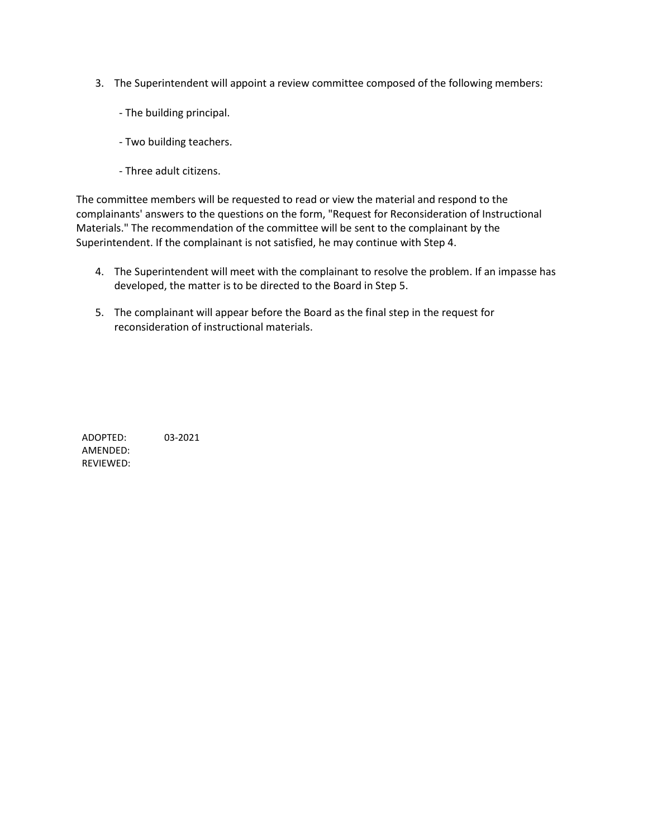- 3. The Superintendent will appoint a review committee composed of the following members:
	- The building principal.
	- Two building teachers.
	- Three adult citizens.

The committee members will be requested to read or view the material and respond to the complainants' answers to the questions on the form, "Request for Reconsideration of Instructional Materials." The recommendation of the committee will be sent to the complainant by the Superintendent. If the complainant is not satisfied, he may continue with Step 4.

- 4. The Superintendent will meet with the complainant to resolve the problem. If an impasse has developed, the matter is to be directed to the Board in Step 5.
- 5. The complainant will appear before the Board as the final step in the request for reconsideration of instructional materials.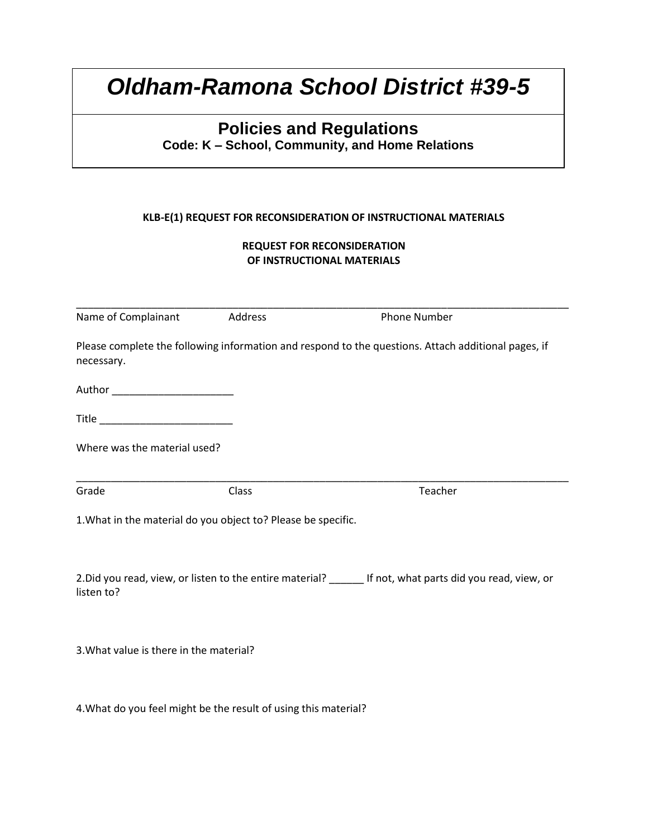# **Policies and Regulations**

**Code: K – School, Community, and Home Relations**

#### **KLB-E(1) REQUEST FOR RECONSIDERATION OF INSTRUCTIONAL MATERIALS**

#### **REQUEST FOR RECONSIDERATION OF INSTRUCTIONAL MATERIALS**

| Name of Complainant                                           | Address | <b>Phone Number</b>                                                                                 |
|---------------------------------------------------------------|---------|-----------------------------------------------------------------------------------------------------|
| necessary.                                                    |         | Please complete the following information and respond to the questions. Attach additional pages, if |
| Author __________________________                             |         |                                                                                                     |
| Title __________________________                              |         |                                                                                                     |
| Where was the material used?                                  |         |                                                                                                     |
| Grade                                                         | Class   | Teacher                                                                                             |
| 1. What in the material do you object to? Please be specific. |         |                                                                                                     |
|                                                               |         |                                                                                                     |

3.What value is there in the material?

4.What do you feel might be the result of using this material?